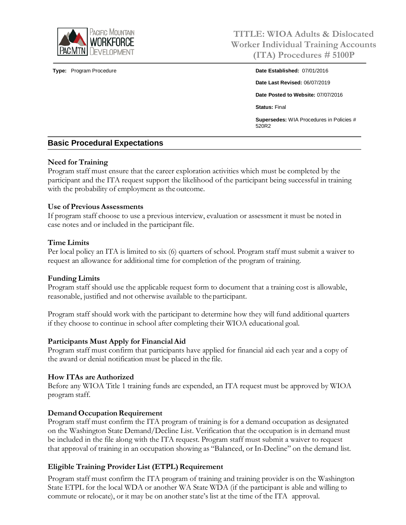

**TITLE: WIOA Adults & Dislocated Worker Individual Training Accounts (ITA) Procedures # 5100P**

**Type:** Program Procedure **Date Established:** 07/01/2016 **Date Last Revised:** 06/07/2019 **Date Posted to Website:** 07/07/2016 **Status:** Final **Supersedes:** WIA Procedures in Policies # 520R2

# **Basic Procedural Expectations**

## **Need for Training**

Program staff must ensure that the career exploration activities which must be completed by the participant and the ITA request support the likelihood of the participant being successful in training with the probability of employment as the outcome.

## **Use of Previous Assessments**

If program staff choose to use a previous interview, evaluation or assessment it must be noted in case notes and or included in the participant file.

#### **Time Limits**

Per local policy an ITA is limited to six (6) quarters of school. Program staff must submit a waiver to request an allowance for additional time for completion of the program of training.

## **Funding Limits**

Program staff should use the applicable request form to document that a training cost is allowable, reasonable, justified and not otherwise available to theparticipant.

Program staff should work with the participant to determine how they will fund additional quarters if they choose to continue in school after completing their WIOA educational goal.

## **Participants Must Apply for FinancialAid**

Program staff must confirm that participants have applied for financial aid each year and a copy of the award or denial notification must be placed in the file.

## **How ITAs are Authorized**

Before any WIOA Title 1 training funds are expended, an ITA request must be approved by WIOA program staff.

## **Demand Occupation Requirement**

Program staff must confirm the ITA program of training is for a demand occupation as designated on the Washington State Demand/Decline List. Verification that the occupation is in demand must be included in the file along with the ITA request. Program staff must submit a waiver to request that approval of training in an occupation showing as "Balanced, or In-Decline" on the demand list.

## **Eligible Training Provider List (ETPL) Requirement**

Program staff must confirm the ITA program of training and training provider is on the Washington State ETPL for the local WDA or another WA State WDA (if the participant is able and willing to commute or relocate), or it may be on another state's list at the time of the ITA approval.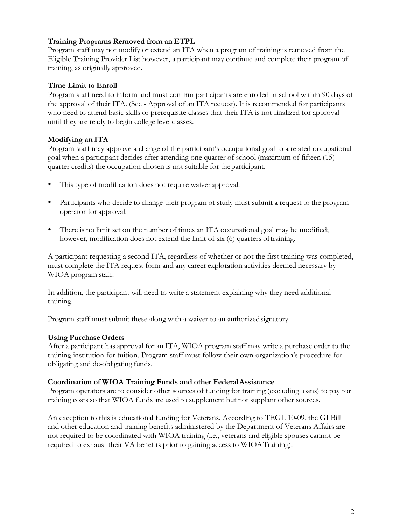# **Training Programs Removed from an ETPL**

Program staff may not modify or extend an ITA when a program of training is removed from the Eligible Training Provider List however, a participant may continue and complete their program of training, as originally approved.

# **Time Limit to Enroll**

Program staff need to inform and must confirm participants are enrolled in school within 90 days of the approval of their ITA. (See - Approval of an ITA request). It is recommended for participants who need to attend basic skills or prerequisite classes that their ITA is not finalized for approval until they are ready to begin college level classes.

# **Modifying an ITA**

Program staff may approve a change of the participant's occupational goal to a related occupational goal when a participant decides after attending one quarter of school (maximum of fifteen (15) quarter credits) the occupation chosen is not suitable for theparticipant.

- This type of modification does not require waiver approval.
- Participants who decide to change their program of study must submit a request to the program operator for approval.
- There is no limit set on the number of times an ITA occupational goal may be modified; however, modification does not extend the limit of six (6) quarters oftraining.

A participant requesting a second ITA, regardless of whether or not the first training was completed, must complete the ITA request form and any career exploration activities deemed necessary by WIOA program staff.

In addition, the participant will need to write a statement explaining why they need additional training.

Program staff must submit these along with a waiver to an authorized signatory.

# **Using PurchaseOrders**

After a participant has approval for an ITA, WIOA program staff may write a purchase order to the training institution for tuition. Program staff must follow their own organization's procedure for obligating and de-obligating funds.

## **Coordination of WIOA Training Funds and other FederalAssistance**

Program operators are to consider other sources of funding for training (excluding loans) to pay for training costs so that WIOA funds are used to supplement but not supplant other sources.

An exception to this is educational funding for Veterans. According to TEGL 10-09, the GI Bill and other education and training benefits administered by the Department of Veterans Affairs are not required to be coordinated with WIOA training (i.e., veterans and eligible spouses cannot be required to exhaust their VA benefits prior to gaining access to WIOATraining).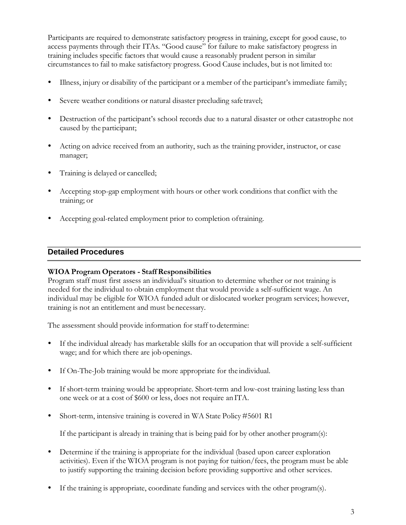Participants are required to demonstrate satisfactory progress in training, except for good cause, to access payments through their ITAs. "Good cause" for failure to make satisfactory progress in training includes specific factors that would cause a reasonably prudent person in similar circumstancesto fail to make satisfactory progress. Good Cause includes, but is not limited to:

- Illness, injury or disability of the participant or a member of the participant's immediate family;
- Severe weather conditions or natural disaster precluding safetravel;
- Destruction of the participant's school records due to a natural disaster or other catastrophe not caused by the participant;
- Acting on advice received from an authority, such as the training provider, instructor, or case manager;
- Training is delayed or cancelled;
- Accepting stop-gap employment with hours or other work conditions that conflict with the training; or
- Accepting goal-related employment prior to completion oftraining.

# **Detailed Procedures**

## **WIOA Program Operators - StaffResponsibilities**

Program staff must first assess an individual's situation to determine whether or not training is needed for the individual to obtain employment that would provide a self-sufficient wage. An individual may be eligible for WIOA funded adult or dislocated worker program services; however, training is not an entitlement and must benecessary.

The assessment should provide information for staff todetermine:

- If the individual already has marketable skills for an occupation that will provide a self-sufficient wage; and for which there are job openings.
- If On-The-Job training would be more appropriate for the individual.
- If short-term training would be appropriate. Short-term and low-cost training lasting less than one week or at a cost of \$600 or less, does not require an ITA.
- Short-term, intensive training is covered in WA State Policy #5601 R1

If the participant is already in training that is being paid for by other another program(s):

- Determine if the training is appropriate for the individual (based upon career exploration activities). Even if the WIOA program is not paying for tuition/fees, the program must be able to justify supporting the training decision before providing supportive and other services.
- If the training is appropriate, coordinate funding and services with the other program(s).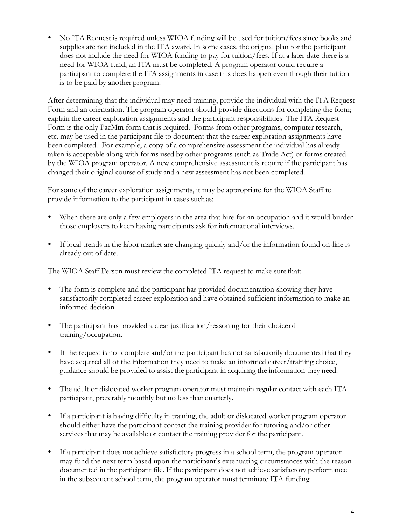No ITA Request is required unless WIOA funding will be used for tuition/fees since books and supplies are not included in the ITA award. In some cases, the original plan for the participant does not include the need for WIOA funding to pay for tuition/fees. If at a later date there is a need for WIOA fund, an ITA must be completed. A program operator could require a participant to complete the ITA assignments in case this does happen even though their tuition is to be paid by another program.

After determining that the individual may need training, provide the individual with the ITA Request Form and an orientation. The program operator should provide directions for completing the form; explain the career exploration assignments and the participant responsibilities. The ITA Request Form is the only PacMtn form that is required. Forms from other programs, computer research, etc. may be used in the participant file to document that the career exploration assignments have been completed. For example, a copy of a comprehensive assessment the individual has already taken is acceptable along with forms used by other programs (such as Trade Act) or forms created by the WIOA program operator. A new comprehensive assessment is require if the participant has changed their original course of study and a new assessment has not been completed.

For some of the career exploration assignments, it may be appropriate for the WIOA Staff to provide information to the participant in cases such as:

- When there are only a few employers in the area that hire for an occupation and it would burden those employers to keep having participants ask for informational interviews.
- If local trends in the labor market are changing quickly and/or the information found on-line is already out of date.

The WIOA Staff Person must review the completed ITA request to make sure that:

- The form is complete and the participant has provided documentation showing they have satisfactorily completed career exploration and have obtained sufficient information to make an informed decision.
- The participant has provided a clear justification/reasoning for their choiceof training/occupation.
- If the request is not complete and/or the participant has not satisfactorily documented that they have acquired all of the information they need to make an informed career/training choice, guidance should be provided to assist the participant in acquiring the information they need.
- The adult or dislocated worker program operator must maintain regular contact with each ITA participant, preferably monthly but no less than quarterly.
- If a participant is having difficulty in training, the adult or dislocated worker program operator should either have the participant contact the training provider for tutoring and/or other services that may be available or contact the training provider for the participant.
- If a participant does not achieve satisfactory progress in a school term, the program operator may fund the next term based upon the participant's extenuating circumstances with the reason documented in the participant file. If the participant does not achieve satisfactory performance in the subsequent school term, the program operator must terminate ITA funding.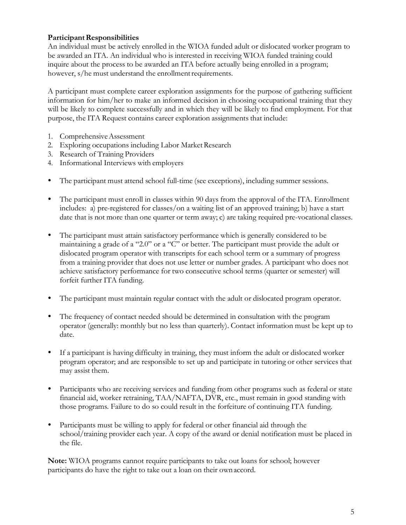# **ParticipantResponsibilities**

An individual must be actively enrolled in the WIOA funded adult or dislocated worker program to be awarded an ITA. An individual who is interested in receiving WIOA funded training could inquire about the process to be awarded an ITA before actually being enrolled in a program; however, s/he must understand the enrollment requirements.

A participant must complete career exploration assignments for the purpose of gathering sufficient information for him/her to make an informed decision in choosing occupational training that they will be likely to complete successfully and in which they will be likely to find employment. For that purpose, the ITA Request contains career exploration assignments that include:

- 1. ComprehensiveAssessment
- 2. Exploring occupations including Labor Market Research
- 3. Research of Training Providers
- 4. Informational Interviews with employers
- The participant must attend school full-time (see exceptions), including summer sessions.
- The participant must enroll in classes within 90 days from the approval of the ITA. Enrollment includes: a) pre-registered for classes/on a waiting list of an approved training; b) have a start date that is not more than one quarter or term away; c) are taking required pre-vocational classes.
- The participant must attain satisfactory performance which is generally considered to be maintaining a grade of a "2.0" or a "C" or better. The participant must provide the adult or dislocated program operator with transcripts for each school term or a summary of progress from a training provider that does not use letter or number grades. A participant who does not achieve satisfactory performance for two consecutive school terms (quarter or semester) will forfeit further ITA funding.
- The participant must maintain regular contact with the adult or dislocated program operator.
- The frequency of contact needed should be determined in consultation with the program operator (generally: monthly but no less than quarterly). Contact information must be kept up to date.
- If a participant is having difficulty in training, they must inform the adult or dislocated worker program operator; and are responsible to set up and participate in tutoring or other services that may assist them.
- Participants who are receiving services and funding from other programs such as federal or state financial aid, worker retraining, TAA/NAFTA, DVR, etc., must remain in good standing with those programs. Failure to do so could result in the forfeiture of continuing ITA funding.
- Participants must be willing to apply for federal or other financial aid through the school/training provider each year. A copy of the award or denial notification must be placed in the file.

**Note:** WIOA programs cannot require participants to take out loans for school; however participants do have the right to take out a loan on their ownaccord.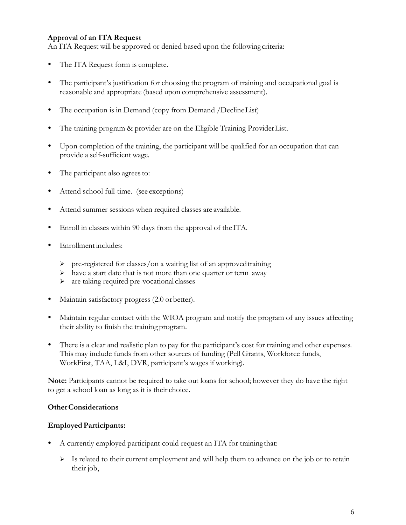# **Approval of an ITA Request**

An ITA Request will be approved or denied based upon the followingcriteria:

- The ITA Request form is complete.
- The participant's justification for choosing the program of training and occupational goal is reasonable and appropriate (based upon comprehensive assessment).
- The occupation is in Demand (copy from Demand /Decline List)
- The training program & provider are on the Eligible Training ProviderList.
- Upon completion of the training, the participant will be qualified for an occupation that can provide a self-sufficient wage.
- The participant also agrees to:
- Attend school full-time. (see exceptions)
- Attend summer sessions when required classes are available.
- Enroll in classes within 90 days from the approval of the ITA.
- Enrollment includes:
	- $\triangleright$  pre-registered for classes/on a waiting list of an approved training
	- $\triangleright$  have a start date that is not more than one quarter or term away
	- are taking required pre-vocational classes
- Maintain satisfactory progress (2.0 orbetter).
- Maintain regular contact with the WIOA program and notify the program of any issues affecting their ability to finish the training program.
- There is a clear and realistic plan to pay for the participant's cost for training and other expenses. This may include funds from other sources of funding (Pell Grants, Workforce funds, WorkFirst, TAA, L&I, DVR, participant's wages if working).

**Note:** Participants cannot be required to take out loans for school; however they do have the right to get a school loan as long as it is their choice.

## **OtherConsiderations**

## **EmployedParticipants:**

- A currently employed participant could request an ITA for trainingthat:
	- Is related to their current employment and will help them to advance on the job or to retain their job,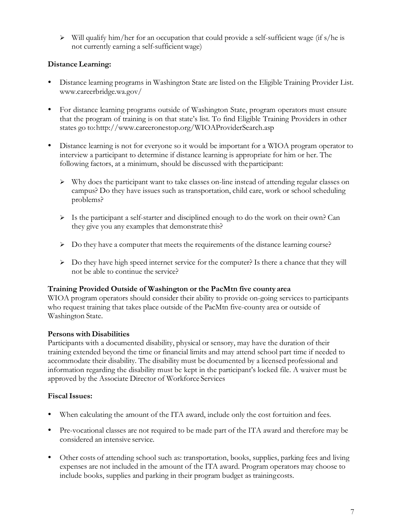$\triangleright$  Will qualify him/her for an occupation that could provide a self-sufficient wage (if s/he is not currently earning a self-sufficientwage)

# **DistanceLearning:**

- Distance learning programs in Washington State are listed on the Eligible Training Provider Lis[t.](http://www.careerbridge.wa.gov/) [www.careerbridge.wa.gov/](http://www.careerbridge.wa.gov/)
- For distance learning programs outside of Washington State, program operators must ensure that the program of training is on that state's list. To find Eligible Training Providers in other states go to[:http://www.careeronestop.org/WIOAProviderSearch.asp](http://www.careeronestop.org/WIOAProviderSearch.asp)
- Distance learning is not for everyone so it would be important for a WIOA program operator to interview a participant to determine if distance learning is appropriate for him or her. The following factors, at a minimum, should be discussed with theparticipant:
	- $\triangleright$  Why does the participant want to take classes on-line instead of attending regular classes on campus? Do they have issues such as transportation, child care, work or school scheduling problems?
	- $\triangleright$  Is the participant a self-starter and disciplined enough to do the work on their own? Can they give you any examples that demonstrate this?
	- $\triangleright$  Do they have a computer that meets the requirements of the distance learning course?
	- $\triangleright$  Do they have high speed internet service for the computer? Is there a chance that they will not be able to continue the service?

# **Training Provided Outside of Washington or the PacMtn five county area**

WIOA program operators should consider their ability to provide on-going services to participants who request training that takes place outside of the PacMtn five-county area or outside of Washington State.

# **Persons with Disabilities**

Participants with a documented disability, physical or sensory, may have the duration of their training extended beyond the time or financial limits and may attend school part time if needed to accommodate their disability. The disability must be documented by a licensed professional and information regarding the disability must be kept in the participant's locked file. A waiver must be approved by the Associate Director of Workforce Services

## **FiscalIssues:**

- When calculating the amount of the ITA award, include only the cost fortuition and fees.
- Pre-vocational classes are not required to be made part of the ITA award and therefore may be considered an intensive service.
- Other costs of attending school such as: transportation, books, supplies, parking fees and living expenses are not included in the amount of the ITA award. Program operators may choose to include books, supplies and parking in their program budget as trainingcosts.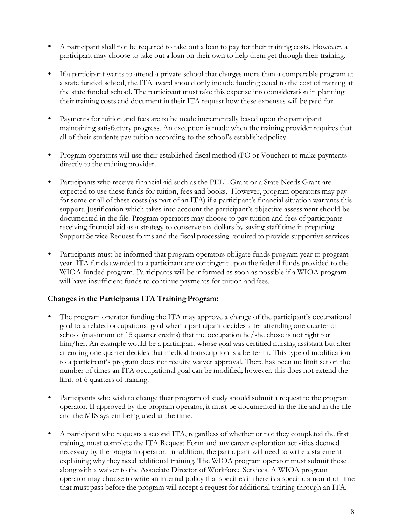- A participant shall not be required to take out a loan to pay for their training costs. However, a participant may choose to take out a loan on their own to help them get through their training.
- If a participant wants to attend a private school that charges more than a comparable program at a state funded school, the ITA award should only include funding equal to the cost of training at the state funded school. The participant must take this expense into consideration in planning their training costs and document in their ITA request how these expenses will be paid for.
- Payments for tuition and fees are to be made incrementally based upon the participant maintaining satisfactory progress. An exception is made when the training provider requires that all of their students pay tuition according to the school's establishedpolicy.
- Program operators will use their established fiscal method (PO or Voucher) to make payments directly to the training provider.
- Participants who receive financial aid such as the PELL Grant or a State Needs Grant are expected to use these funds for tuition, fees and books. However, program operators may pay for some or all of these costs (as part of an ITA) if a participant's financial situation warrants this support. Justification which takes into account the participant's objective assessment should be documented in the file. Program operators may choose to pay tuition and fees of participants receiving financial aid as a strategy to conserve tax dollars by saving staff time in preparing Support Service Request forms and the fiscal processing required to provide supportive services.
- Participants must be informed that program operators obligate funds program year to program year. ITA funds awarded to a participant are contingent upon the federal funds provided to the WIOA funded program. Participants will be informed as soon as possible if a WIOA program will have insufficient funds to continue payments for tuition and fees.

# **Changes in the Participants ITA TrainingProgram:**

- The program operator funding the ITA may approve a change of the participant's occupational goal to a related occupational goal when a participant decides after attending one quarter of school (maximum of 15 quarter credits) that the occupation he/she chose is not right for him/her. An example would be a participant whose goal was certified nursing assistant but after attending one quarter decides that medical transcription is a better fit. This type of modification to a participant's program does not require waiver approval. There has been no limit set on the number of times an ITA occupational goal can be modified; however, this does not extend the limit of 6 quarters of training.
- Participants who wish to change their program of study should submit a request to the program operator. If approved by the program operator, it must be documented in the file and in the file and the MIS system being used at the time.
- A participant who requests a second ITA, regardless of whether or not they completed the first training, must complete the ITA Request Form and any career exploration activities deemed necessary by the program operator. In addition, the participant will need to write a statement explaining why they need additional training. The WIOA program operator must submit these along with a waiver to the Associate Director of Workforce Services. A WIOA program operator may choose to write an internal policy that specifies if there is a specific amount of time that must pass before the program will accept a request for additional training through an ITA.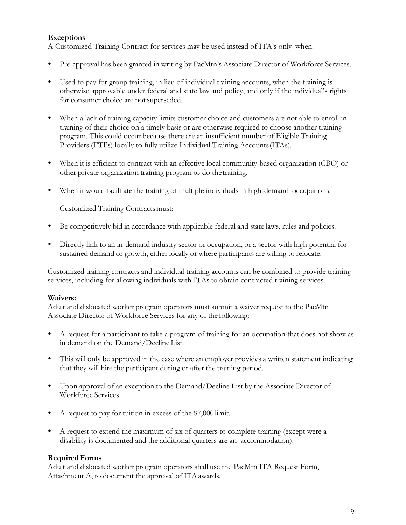# **Exceptions**

A Customized Training Contract for services may be used instead of ITA's only when:

- Pre-approval has been granted in writing by PacMtn's Associate Director of Workforce Services.
- Used to pay for group training, in lieu of individual training accounts, when the training is otherwise approvable under federal and state law and policy, and only if the individual's rights for consumer choice are notsuperseded.
- When a lack of training capacity limits customer choice and customers are not able to enroll in training of their choice on a timely basis or are otherwise required to choose another training program. This could occur because there are an insufficient number of Eligible Training Providers (ETPs) locally to fully utilize Individual Training Accounts(ITAs).
- When it is efficient to contract with an effective local community-based organization (CBO) or other private organization training program to do thetraining.
- When it would facilitate the training of multiple individuals in high-demand occupations.

Customized Training Contracts must:

- Be competitively bid in accordance with applicable federal and state laws, rules and policies.
- Directly link to an in-demand industry sector or occupation, or a sector with high potential for sustained demand or growth, either locally or where participants are willing to relocate.

Customized training contracts and individual training accounts can be combined to provide training services, including for allowing individuals with ITAs to obtain contracted training services.

#### **Waivers:**

Adult and dislocated worker program operators must submit a waiver request to the PacMtn Associate Director of Workforce Services for any of the following:

- A request for a participant to take a program of training for an occupation that does not show as in demand on the Demand/Decline List.
- This will only be approved in the case where an employer provides a written statement indicating that they will hire the participant during or after the training period.
- Upon approval of an exception to the Demand/Decline List by the Associate Director of Workforce Services
- A request to pay for tuition in excess of the \$7,000 limit.
- A request to extend the maximum of six of quarters to complete training (except were a disability is documented and the additional quarters are an accommodation).

## **Required Forms**

Adult and dislocated worker program operators shall use the PacMtn ITA Request Form, Attachment A, to document the approval of ITA awards.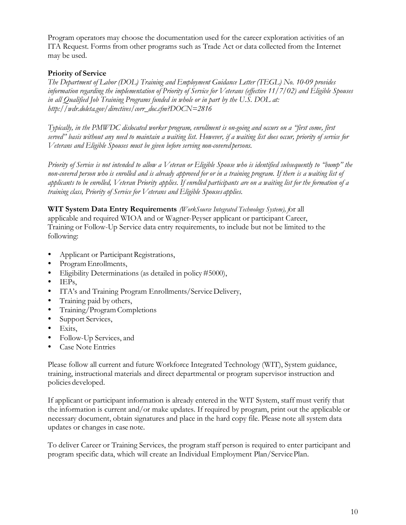Program operators may choose the documentation used for the career exploration activities of an ITA Request. Forms from other programs such as Trade Act or data collected from the Internet may be used.

# **Priority of Service**

*The Department of Labor (DOL) Training and Employment Guidance Letter (TEGL) No. 10-09 provides information regarding the implementation of Priority of Service for Veterans (effective 11/7/02) and Eligible Spouses in all Qualified Job Training Programs funded in whole or in part by the U.S. DOL at[:](http://wdr.doleta.gov/directives/corr_doc.cfm?DOCN=2816) [http://wdr.doleta.gov/directives/corr\\_doc.cfm?DOCN=2816](http://wdr.doleta.gov/directives/corr_doc.cfm?DOCN=2816)*

*Typically, in the PMWDC dislocated worker program, enrollment is on-going and occurs on a "first come, first served" basis without any need to maintain a waiting list. However, if a waiting list does occur, priority of service for Veterans and Eligible Spouses must be given before serving non-covered persons.*

*Priority of Service is not intended to allow a Veteran or Eligible Spouse who is identified subsequently to "bump" the* non-covered person who is enrolled and is already approved for or in a training program. If there is a waiting list of applicants to be enrolled, Veteran Priority applies. If enrolled participants are on a waiting list for the formation of a *training class, Priority of Service for Veterans and Eligible Spouses applies.*

**WIT System Data Entry Requirements** *(WorkSource Integrated Technology System), f*or all applicable and required WIOA and or Wagner-Peyser applicant or participant Career, Training or Follow-Up Service data entry requirements, to include but not be limited to the following:

- Applicant or Participant Registrations,
- Program Enrollments,
- Eligibility Determinations (as detailed in policy#5000),
- $\bullet$  IEPs,
- ITA's and Training Program Enrollments/ServiceDelivery,
- Training paid by others,
- Training/Program Completions
- Support Services,
- $\bullet$  Exits,
- Follow-Up Services, and
- Case Note Entries

Please follow all current and future Workforce Integrated Technology (WIT), System guidance, training, instructional materials and direct departmental or program supervisor instruction and policies developed.

If applicant or participant information is already entered in the WIT System, staff must verify that the information is current and/or make updates. If required by program, print out the applicable or necessary document, obtain signatures and place in the hard copy file. Please note all system data updates or changes in case note.

To deliver Career or Training Services, the program staff person is required to enter participant and program specific data, which will create an Individual Employment Plan/ServicePlan.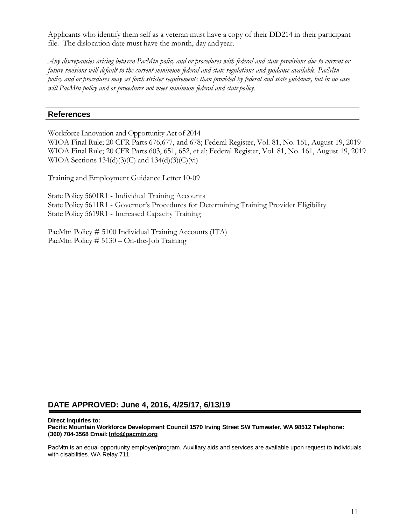Applicants who identify them self as a veteran must have a copy of their DD214 in their participant file. The dislocation date must have the month, day andyear.

Any discrepancies arising between PacMtn policy and or procedures with federal and state provisions due to current or *future revisions will default to the current minimum federal and state regulations and guidance available. PacMtn* policy and or procedures may set forth stricter requirements than provided by federal and state guidance, but in no case *will PacMtn policy and or procedures not meet minimum federal and state policy.*

#### **References**

Workforce Innovation and Opportunity Act of 2014

WIOA Final Rule; 20 CFR Parts 676,677, and 678; Federal Register, Vol. 81, No. 161, August 19, 2019 WIOA Final Rule; 20 CFR Parts 603, 651, 652, et al; Federal Register, Vol. 81, No. 161, August 19, 2019 WIOA Sections 134(d)(3)(C) and 134(d)(3)(C)(vi)

Training and Employment Guidance Letter 10-09

State Policy 5601R1 - Individual Training Accounts State Policy 5611R1 - Governor's Procedures for Determining Training Provider Eligibility State Policy 5619R1 - Increased Capacity Training

PacMtn Policy # 5100 Individual Training Accounts (ITA) PacMtn Policy # 5130 – On-the-Job Training

## **DATE APPROVED: June 4, 2016, 4/25/17, 6/13/19**

**Direct Inquiries to:**

**Pacific Mountain Workforce Development Council 1570 Irving Street SW Tumwater, WA 98512 Telephone: (360) 704-3568 Email: [Info@pacmtn.org](mailto:Info@pacmtn.org)**

PacMtn is an equal opportunity employer/program. Auxiliary aids and services are available upon request to individuals with disabilities. WA Relay 711